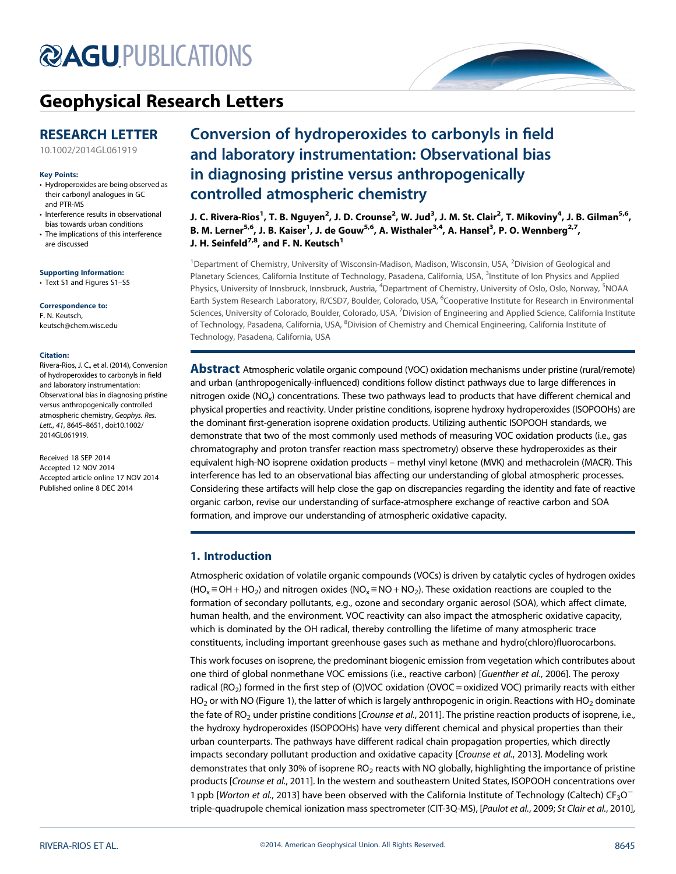# **@AGU[PUBLICATIONS](http://publications.agu.org/journals/)**



# [Geophysical Research Letters](http://onlinelibrary.wiley.com/journal/10.1002/(ISSN)1944-8007)

# RESEARCH LETTER

[10.1002/2014GL061919](http://dx.doi.org/10.1002/2014GL061919)

#### Key Points:

- Hydroperoxides are being observed as their carbonyl analogues in GC and PTR-MS
- Interference results in observational bias towards urban conditions
- The implications of this interference are discussed

#### Supporting Information:

• Text S1 and Figures S1–S5

#### Correspondence to:

F. N. Keutsch, keutsch@chem.wisc.edu

#### Citation:

Rivera-Rios, J. C., et al. (2014), Conversion of hydroperoxides to carbonyls in field and laboratory instrumentation: Observational bias in diagnosing pristine versus anthropogenically controlled atmospheric chemistry, Geophys. Res. Lett., 41, 8645–8651, doi:10.1002/ 2014GL061919.

Received 18 SEP 2014 Accepted 12 NOV 2014 Accepted article online 17 NOV 2014 Published online 8 DEC 2014

# Conversion of hydroperoxides to carbonyls in field and laboratory instrumentation: Observational bias in diagnosing pristine versus anthropogenically controlled atmospheric chemistry

J. C. Rivera-Rios<sup>1</sup>, T. B. Nguyen<sup>2</sup>, J. D. Crounse<sup>2</sup>, W. Jud<sup>3</sup>, J. M. St. Clair<sup>2</sup>, T. Mikoviny<sup>4</sup>, J. B. Gilman<sup>5,6</sup>, B. M. Lerner<sup>5,6</sup>, J. B. Kaiser<sup>1</sup>, J. de Gouw<sup>5,6</sup>, A. Wisthaler<sup>3,4</sup>, A. Hansel<sup>3</sup>, P. O. Wennberg<sup>2,7</sup>, J. H. Seinfeld<sup>7,8</sup>, and F. N. Keutsch<sup>1</sup>

<sup>1</sup> Department of Chemistry, University of Wisconsin-Madison, Madison, Wisconsin, USA, <sup>2</sup> Division of Geological and Planetary Sciences, California Institute of Technology, Pasadena, California, USA, <sup>3</sup>Institute of Ion Physics and Applied Physics, University of Innsbruck, Innsbruck, Austria, <sup>4</sup>Department of Chemistry, University of Oslo, Oslo, Norway, <sup>5</sup>NOAA Earth System Research Laboratory, R/CSD7, Boulder, Colorado, USA, <sup>6</sup>Cooperative Institute for Research in Environmental Sciences, University of Colorado, Boulder, Colorado, USA, <sup>7</sup>Division of Engineering and Applied Science, California Institute of Technology, Pasadena, California, USA, <sup>8</sup>Division of Chemistry and Chemical Engineering, California Institute of Technology, Pasadena, California, USA

Abstract Atmospheric volatile organic compound (VOC) oxidation mechanisms under pristine (rural/remote) and urban (anthropogenically-influenced) conditions follow distinct pathways due to large differences in nitrogen oxide (NO<sub>x</sub>) concentrations. These two pathways lead to products that have different chemical and physical properties and reactivity. Under pristine conditions, isoprene hydroxy hydroperoxides (ISOPOOHs) are the dominant first-generation isoprene oxidation products. Utilizing authentic ISOPOOH standards, we demonstrate that two of the most commonly used methods of measuring VOC oxidation products (i.e., gas chromatography and proton transfer reaction mass spectrometry) observe these hydroperoxides as their equivalent high-NO isoprene oxidation products – methyl vinyl ketone (MVK) and methacrolein (MACR). This interference has led to an observational bias affecting our understanding of global atmospheric processes. Considering these artifacts will help close the gap on discrepancies regarding the identity and fate of reactive organic carbon, revise our understanding of surface-atmosphere exchange of reactive carbon and SOA formation, and improve our understanding of atmospheric oxidative capacity.

# 1. Introduction

Atmospheric oxidation of volatile organic compounds (VOCs) is driven by catalytic cycles of hydrogen oxides  $(HO_x \equiv OH + HO_2)$  and nitrogen oxides  $(NO_x \equiv NO + NO_2)$ . These oxidation reactions are coupled to the formation of secondary pollutants, e.g., ozone and secondary organic aerosol (SOA), which affect climate, human health, and the environment. VOC reactivity can also impact the atmospheric oxidative capacity, which is dominated by the OH radical, thereby controlling the lifetime of many atmospheric trace constituents, including important greenhouse gases such as methane and hydro(chloro)fluorocarbons.

This work focuses on isoprene, the predominant biogenic emission from vegetation which contributes about one third of global nonmethane VOC emissions (i.e., reactive carbon) [Guenther et al., 2006]. The peroxy radical (RO<sub>2</sub>) formed in the first step of (O)VOC oxidation (OVOC = oxidized VOC) primarily reacts with either  $HO<sub>2</sub>$  or with NO (Figure 1), the latter of which is largely anthropogenic in origin. Reactions with HO<sub>2</sub> dominate the fate of RO<sub>2</sub> under pristine conditions [Crounse et al., 2011]. The pristine reaction products of isoprene, i.e., the hydroxy hydroperoxides (ISOPOOHs) have very different chemical and physical properties than their urban counterparts. The pathways have different radical chain propagation properties, which directly impacts secondary pollutant production and oxidative capacity [Crounse et al., 2013]. Modeling work demonstrates that only 30% of isoprene  $RO<sub>2</sub>$  reacts with NO globally, highlighting the importance of pristine products [Crounse et al., 2011]. In the western and southeastern United States, ISOPOOH concentrations over 1 ppb [Worton et al., 2013] have been observed with the California Institute of Technology (Caltech)  $CF_3O^$ triple-quadrupole chemical ionization mass spectrometer (CIT-3Q-MS), [Paulot et al., 2009; St Clair et al., 2010],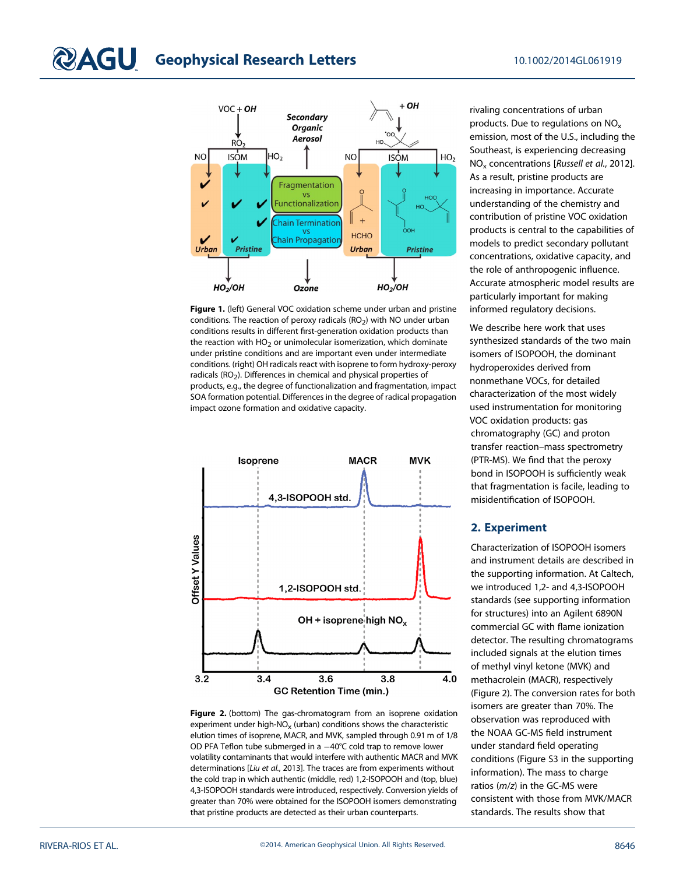

Figure 1. (left) General VOC oxidation scheme under urban and pristine conditions. The reaction of peroxy radicals  $(RO<sub>2</sub>)$  with NO under urban conditions results in different first-generation oxidation products than the reaction with  $HO<sub>2</sub>$  or unimolecular isomerization, which dominate under pristine conditions and are important even under intermediate conditions. (right) OH radicals react with isoprene to form hydroxy-peroxy radicals (RO<sub>2</sub>). Differences in chemical and physical properties of products, e.g., the degree of functionalization and fragmentation, impact SOA formation potential. Differences in the degree of radical propagation impact ozone formation and oxidative capacity.



Figure 2. (bottom) The gas-chromatogram from an isoprene oxidation experiment under high-NO<sub>x</sub> (urban) conditions shows the characteristic elution times of isoprene, MACR, and MVK, sampled through 0.91 m of 1/8 OD PFA Teflon tube submerged in a  $-40^{\circ}$ C cold trap to remove lower volatility contaminants that would interfere with authentic MACR and MVK determinations [Liu et al., 2013]. The traces are from experiments without the cold trap in which authentic (middle, red) 1,2-ISOPOOH and (top, blue) 4,3-ISOPOOH standards were introduced, respectively. Conversion yields of greater than 70% were obtained for the ISOPOOH isomers demonstrating that pristine products are detected as their urban counterparts.

rivaling concentrations of urban products. Due to regulations on NO<sub>x</sub> emission, most of the U.S., including the Southeast, is experiencing decreasing NOx concentrations [Russell et al., 2012]. As a result, pristine products are increasing in importance. Accurate understanding of the chemistry and contribution of pristine VOC oxidation products is central to the capabilities of models to predict secondary pollutant concentrations, oxidative capacity, and the role of anthropogenic influence. Accurate atmospheric model results are particularly important for making informed regulatory decisions.

We describe here work that uses synthesized standards of the two main isomers of ISOPOOH, the dominant hydroperoxides derived from nonmethane VOCs, for detailed characterization of the most widely used instrumentation for monitoring VOC oxidation products: gas chromatography (GC) and proton transfer reaction–mass spectrometry (PTR-MS). We find that the peroxy bond in ISOPOOH is sufficiently weak that fragmentation is facile, leading to misidentification of ISOPOOH.

# 2. Experiment

Characterization of ISOPOOH isomers and instrument details are described in the supporting information. At Caltech, we introduced 1,2- and 4,3-ISOPOOH standards (see supporting information for structures) into an Agilent 6890N commercial GC with flame ionization detector. The resulting chromatograms included signals at the elution times of methyl vinyl ketone (MVK) and methacrolein (MACR), respectively (Figure 2). The conversion rates for both isomers are greater than 70%. The observation was reproduced with the NOAA GC-MS field instrument under standard field operating conditions (Figure S3 in the supporting information). The mass to charge ratios (m/z) in the GC-MS were consistent with those from MVK/MACR standards. The results show that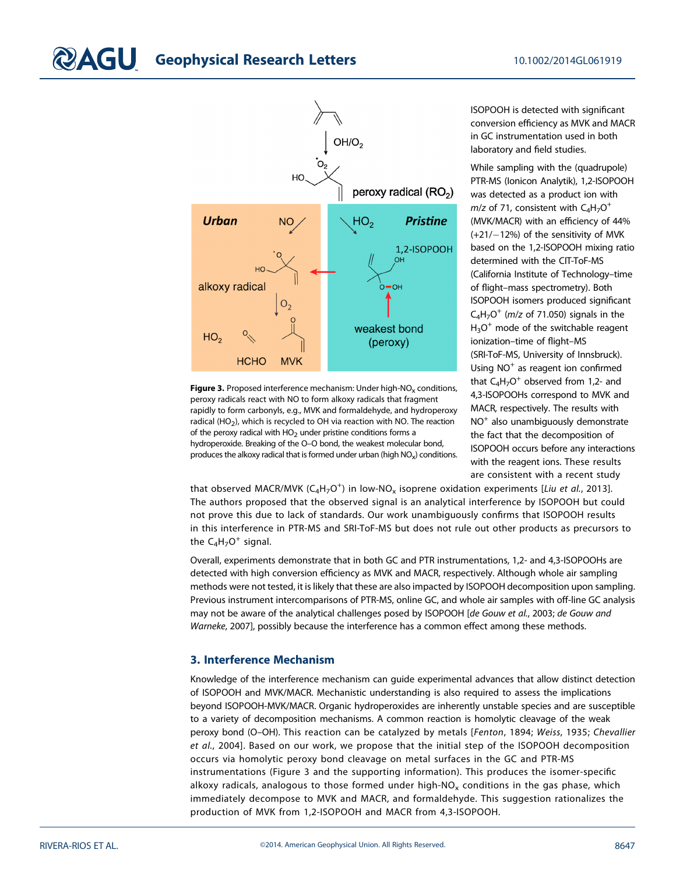# $\mathbf{2AGU}$  Geophysical Research Letters 10.1002/2014GL061919



Figure 3. Proposed interference mechanism: Under high-NO<sub>x</sub> conditions, peroxy radicals react with NO to form alkoxy radicals that fragment rapidly to form carbonyls, e.g., MVK and formaldehyde, and hydroperoxy radical (HO<sub>2</sub>), which is recycled to OH via reaction with NO. The reaction of the peroxy radical with  $HO<sub>2</sub>$  under pristine conditions forms a hydroperoxide. Breaking of the O–O bond, the weakest molecular bond, produces the alkoxy radical that is formed under urban (high  $NO_x$ ) conditions. ISOPOOH is detected with significant conversion efficiency as MVK and MACR in GC instrumentation used in both laboratory and field studies.

While sampling with the (quadrupole) PTR-MS (Ionicon Analytik), 1,2-ISOPOOH was detected as a product ion with  $m/z$  of 71, consistent with  $C_4H_7O^+$ (MVK/MACR) with an efficiency of 44%  $(+21/-12%)$  of the sensitivity of MVK based on the 1,2-ISOPOOH mixing ratio determined with the CIT-ToF-MS (California Institute of Technology–time of flight–mass spectrometry). Both ISOPOOH isomers produced significant  $C_4H_7O^+$  (*m*/z of 71.050) signals in the  $H_3O^+$  mode of the switchable reagent ionization–time of flight–MS (SRI-ToF-MS, University of Innsbruck). Using  $NO<sup>+</sup>$  as reagent ion confirmed that  $C_4H_7O^+$  observed from 1,2- and 4,3-ISOPOOHs correspond to MVK and MACR, respectively. The results with  $NO<sup>+</sup>$  also unambiguously demonstrate the fact that the decomposition of ISOPOOH occurs before any interactions with the reagent ions. These results are consistent with a recent study

that observed MACR/MVK (C<sub>4</sub>H<sub>7</sub>O<sup>+</sup>) in low-NO<sub>x</sub> isoprene oxidation experiments [*Liu et al.*, 2013]. The authors proposed that the observed signal is an analytical interference by ISOPOOH but could not prove this due to lack of standards. Our work unambiguously confirms that ISOPOOH results in this interference in PTR-MS and SRI-ToF-MS but does not rule out other products as precursors to the  $C_4H_7O^+$  signal.

Overall, experiments demonstrate that in both GC and PTR instrumentations, 1,2- and 4,3-ISOPOOHs are detected with high conversion efficiency as MVK and MACR, respectively. Although whole air sampling methods were not tested, it is likely that these are also impacted by ISOPOOH decomposition upon sampling. Previous instrument intercomparisons of PTR-MS, online GC, and whole air samples with off-line GC analysis may not be aware of the analytical challenges posed by ISOPOOH [de Gouw et al., 2003; de Gouw and Warneke, 2007], possibly because the interference has a common effect among these methods.

## 3. Interference Mechanism

Knowledge of the interference mechanism can guide experimental advances that allow distinct detection of ISOPOOH and MVK/MACR. Mechanistic understanding is also required to assess the implications beyond ISOPOOH-MVK/MACR. Organic hydroperoxides are inherently unstable species and are susceptible to a variety of decomposition mechanisms. A common reaction is homolytic cleavage of the weak peroxy bond (O–OH). This reaction can be catalyzed by metals [Fenton, 1894; Weiss, 1935; Chevallier et al., 2004]. Based on our work, we propose that the initial step of the ISOPOOH decomposition occurs via homolytic peroxy bond cleavage on metal surfaces in the GC and PTR-MS instrumentations (Figure 3 and the supporting information). This produces the isomer-specific alkoxy radicals, analogous to those formed under high- $NO<sub>x</sub>$  conditions in the gas phase, which immediately decompose to MVK and MACR, and formaldehyde. This suggestion rationalizes the production of MVK from 1,2-ISOPOOH and MACR from 4,3-ISOPOOH.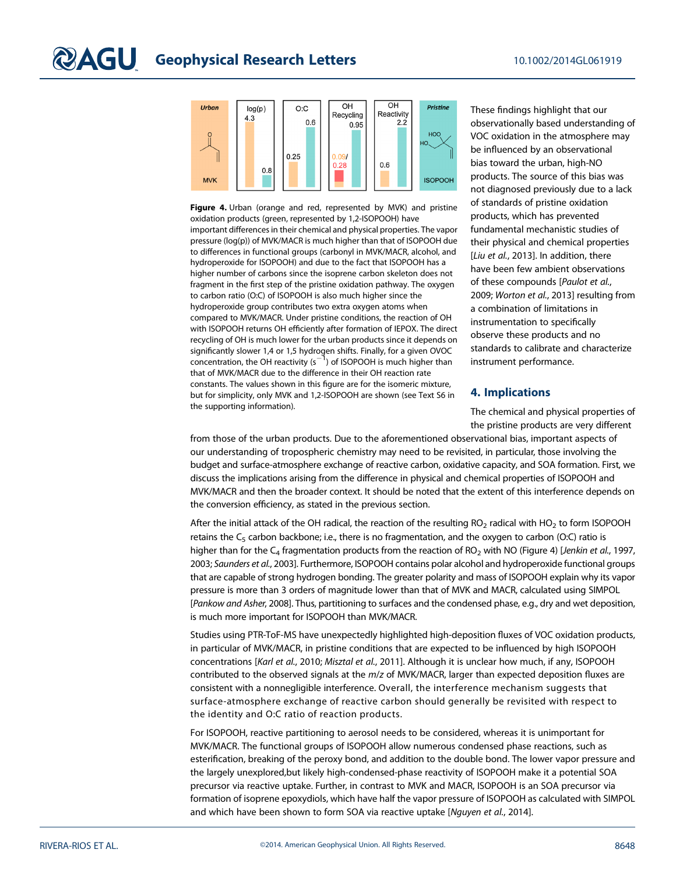

Figure 4. Urban (orange and red, represented by MVK) and pristine oxidation products (green, represented by 1,2-ISOPOOH) have important differences in their chemical and physical properties. The vapor pressure (log(p)) of MVK/MACR is much higher than that of ISOPOOH due to differences in functional groups (carbonyl in MVK/MACR, alcohol, and hydroperoxide for ISOPOOH) and due to the fact that ISOPOOH has a higher number of carbons since the isoprene carbon skeleton does not fragment in the first step of the pristine oxidation pathway. The oxygen to carbon ratio (O:C) of ISOPOOH is also much higher since the hydroperoxide group contributes two extra oxygen atoms when compared to MVK/MACR. Under pristine conditions, the reaction of OH with ISOPOOH returns OH efficiently after formation of IEPOX. The direct recycling of OH is much lower for the urban products since it depends on significantly slower 1,4 or 1,5 hydrogen shifts. Finally, for a given OVOC concentration, the OH reactivity  $(s^{-1})$  of ISOPOOH is much higher than that of MVK/MACR due to the difference in their OH reaction rate constants. The values shown in this figure are for the isomeric mixture, but for simplicity, only MVK and 1,2-ISOPOOH are shown (see Text S6 in the supporting information).

These findings highlight that our observationally based understanding of VOC oxidation in the atmosphere may be influenced by an observational bias toward the urban, high-NO products. The source of this bias was not diagnosed previously due to a lack of standards of pristine oxidation products, which has prevented fundamental mechanistic studies of their physical and chemical properties [Liu et al., 2013]. In addition, there have been few ambient observations of these compounds [Paulot et al., 2009; Worton et al., 2013] resulting from a combination of limitations in instrumentation to specifically observe these products and no standards to calibrate and characterize instrument performance.

## 4. Implications

The chemical and physical properties of the pristine products are very different

from those of the urban products. Due to the aforementioned observational bias, important aspects of our understanding of tropospheric chemistry may need to be revisited, in particular, those involving the budget and surface-atmosphere exchange of reactive carbon, oxidative capacity, and SOA formation. First, we discuss the implications arising from the difference in physical and chemical properties of ISOPOOH and MVK/MACR and then the broader context. It should be noted that the extent of this interference depends on the conversion efficiency, as stated in the previous section.

After the initial attack of the OH radical, the reaction of the resulting  $RO<sub>2</sub>$  radical with  $HO<sub>2</sub>$  to form ISOPOOH retains the  $C_5$  carbon backbone; i.e., there is no fragmentation, and the oxygen to carbon (O:C) ratio is higher than for the  $C_4$  fragmentation products from the reaction of RO<sub>2</sub> with NO (Figure 4) [Jenkin et al., 1997, 2003; Saunders et al., 2003]. Furthermore, ISOPOOH contains polar alcohol and hydroperoxide functional groups that are capable of strong hydrogen bonding. The greater polarity and mass of ISOPOOH explain why its vapor pressure is more than 3 orders of magnitude lower than that of MVK and MACR, calculated using SIMPOL [Pankow and Asher, 2008]. Thus, partitioning to surfaces and the condensed phase, e.g., dry and wet deposition, is much more important for ISOPOOH than MVK/MACR.

Studies using PTR-ToF-MS have unexpectedly highlighted high-deposition fluxes of VOC oxidation products, in particular of MVK/MACR, in pristine conditions that are expected to be influenced by high ISOPOOH concentrations [Karl et al., 2010; Misztal et al., 2011]. Although it is unclear how much, if any, ISOPOOH contributed to the observed signals at the m/z of MVK/MACR, larger than expected deposition fluxes are consistent with a nonnegligible interference. Overall, the interference mechanism suggests that surface-atmosphere exchange of reactive carbon should generally be revisited with respect to the identity and O:C ratio of reaction products.

For ISOPOOH, reactive partitioning to aerosol needs to be considered, whereas it is unimportant for MVK/MACR. The functional groups of ISOPOOH allow numerous condensed phase reactions, such as esterification, breaking of the peroxy bond, and addition to the double bond. The lower vapor pressure and the largely unexplored,but likely high-condensed-phase reactivity of ISOPOOH make it a potential SOA precursor via reactive uptake. Further, in contrast to MVK and MACR, ISOPOOH is an SOA precursor via formation of isoprene epoxydiols, which have half the vapor pressure of ISOPOOH as calculated with SIMPOL and which have been shown to form SOA via reactive uptake [Nguyen et al., 2014].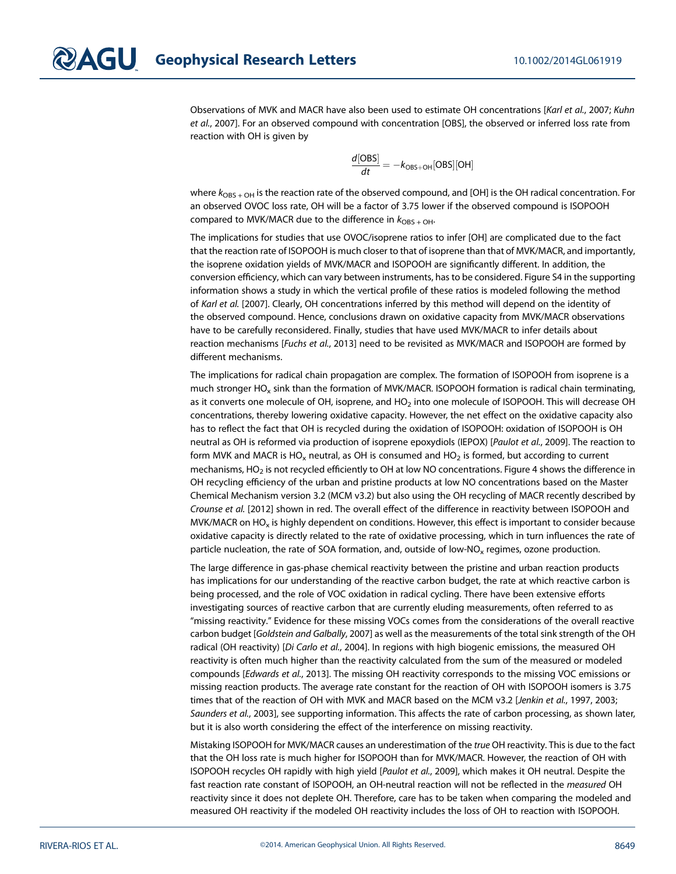Observations of MVK and MACR have also been used to estimate OH concentrations [Karl et al., 2007; Kuhn et al., 2007]. For an observed compound with concentration [OBS], the observed or inferred loss rate from reaction with OH is given by

$$
\frac{d[OBS]}{dt} = -k_{OBS+OH}[OBS][OH]
$$

where  $k_{\text{OBS + OH}}$  is the reaction rate of the observed compound, and [OH] is the OH radical concentration. For an observed OVOC loss rate, OH will be a factor of 3.75 lower if the observed compound is ISOPOOH compared to MVK/MACR due to the difference in  $k_{\text{OBS + OH}}$ .

The implications for studies that use OVOC/isoprene ratios to infer [OH] are complicated due to the fact that the reaction rate of ISOPOOH is much closer to that of isoprene than that of MVK/MACR, and importantly, the isoprene oxidation yields of MVK/MACR and ISOPOOH are significantly different. In addition, the conversion efficiency, which can vary between instruments, has to be considered. Figure S4 in the supporting information shows a study in which the vertical profile of these ratios is modeled following the method of Karl et al. [2007]. Clearly, OH concentrations inferred by this method will depend on the identity of the observed compound. Hence, conclusions drawn on oxidative capacity from MVK/MACR observations have to be carefully reconsidered. Finally, studies that have used MVK/MACR to infer details about reaction mechanisms [Fuchs et al., 2013] need to be revisited as MVK/MACR and ISOPOOH are formed by different mechanisms.

The implications for radical chain propagation are complex. The formation of ISOPOOH from isoprene is a much stronger HO<sub>x</sub> sink than the formation of MVK/MACR. ISOPOOH formation is radical chain terminating, as it converts one molecule of OH, isoprene, and HO<sub>2</sub> into one molecule of ISOPOOH. This will decrease OH concentrations, thereby lowering oxidative capacity. However, the net effect on the oxidative capacity also has to reflect the fact that OH is recycled during the oxidation of ISOPOOH: oxidation of ISOPOOH is OH neutral as OH is reformed via production of isoprene epoxydiols (IEPOX) [Paulot et al., 2009]. The reaction to form MVK and MACR is HO<sub>x</sub> neutral, as OH is consumed and HO<sub>2</sub> is formed, but according to current mechanisms, HO<sub>2</sub> is not recycled efficiently to OH at low NO concentrations. Figure 4 shows the difference in OH recycling efficiency of the urban and pristine products at low NO concentrations based on the Master Chemical Mechanism version 3.2 (MCM v3.2) but also using the OH recycling of MACR recently described by Crounse et al. [2012] shown in red. The overall effect of the difference in reactivity between ISOPOOH and MVK/MACR on  $HO_x$  is highly dependent on conditions. However, this effect is important to consider because oxidative capacity is directly related to the rate of oxidative processing, which in turn influences the rate of particle nucleation, the rate of SOA formation, and, outside of low-NO $_{x}$  regimes, ozone production.

The large difference in gas-phase chemical reactivity between the pristine and urban reaction products has implications for our understanding of the reactive carbon budget, the rate at which reactive carbon is being processed, and the role of VOC oxidation in radical cycling. There have been extensive efforts investigating sources of reactive carbon that are currently eluding measurements, often referred to as "missing reactivity." Evidence for these missing VOCs comes from the considerations of the overall reactive carbon budget [Goldstein and Galbally, 2007] as well as the measurements of the total sink strength of the OH radical (OH reactivity) [Di Carlo et al., 2004]. In regions with high biogenic emissions, the measured OH reactivity is often much higher than the reactivity calculated from the sum of the measured or modeled compounds [Edwards et al., 2013]. The missing OH reactivity corresponds to the missing VOC emissions or missing reaction products. The average rate constant for the reaction of OH with ISOPOOH isomers is 3.75 times that of the reaction of OH with MVK and MACR based on the MCM v3.2 [Jenkin et al., 1997, 2003; Saunders et al., 2003], see supporting information. This affects the rate of carbon processing, as shown later, but it is also worth considering the effect of the interference on missing reactivity.

Mistaking ISOPOOH for MVK/MACR causes an underestimation of the true OH reactivity. This is due to the fact that the OH loss rate is much higher for ISOPOOH than for MVK/MACR. However, the reaction of OH with ISOPOOH recycles OH rapidly with high yield [Paulot et al., 2009], which makes it OH neutral. Despite the fast reaction rate constant of ISOPOOH, an OH-neutral reaction will not be reflected in the measured OH reactivity since it does not deplete OH. Therefore, care has to be taken when comparing the modeled and measured OH reactivity if the modeled OH reactivity includes the loss of OH to reaction with ISOPOOH.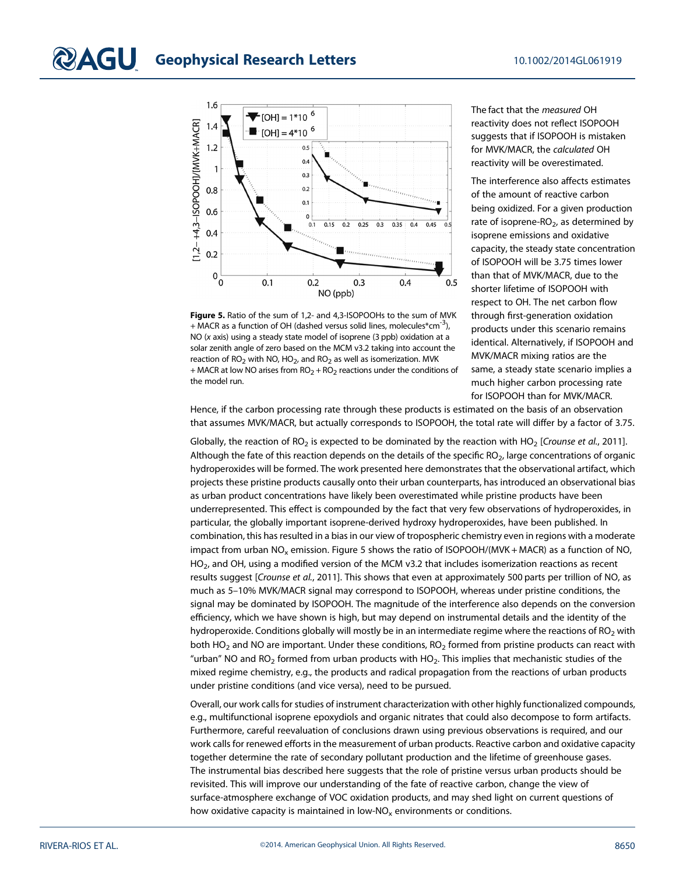

Figure 5. Ratio of the sum of 1,2- and 4,3-ISOPOOHs to the sum of MVK + MACR as a function of OH (dashed versus solid lines, molecules\*cm<sup>-3</sup>), NO (x axis) using a steady state model of isoprene (3 ppb) oxidation at a solar zenith angle of zero based on the MCM v3.2 taking into account the reaction of  $RO<sub>2</sub>$  with NO, HO<sub>2</sub>, and RO<sub>2</sub> as well as isomerization. MVK + MACR at low NO arises from  $RO<sub>2</sub> + RO<sub>2</sub>$  reactions under the conditions of the model run.

The fact that the measured OH reactivity does not reflect ISOPOOH suggests that if ISOPOOH is mistaken for MVK/MACR, the calculated OH reactivity will be overestimated.

The interference also affects estimates of the amount of reactive carbon being oxidized. For a given production rate of isoprene- $RO<sub>2</sub>$ , as determined by isoprene emissions and oxidative capacity, the steady state concentration of ISOPOOH will be 3.75 times lower than that of MVK/MACR, due to the shorter lifetime of ISOPOOH with respect to OH. The net carbon flow through first-generation oxidation products under this scenario remains identical. Alternatively, if ISOPOOH and MVK/MACR mixing ratios are the same, a steady state scenario implies a much higher carbon processing rate for ISOPOOH than for MVK/MACR.

Hence, if the carbon processing rate through these products is estimated on the basis of an observation that assumes MVK/MACR, but actually corresponds to ISOPOOH, the total rate will differ by a factor of 3.75.

Globally, the reaction of RO<sub>2</sub> is expected to be dominated by the reaction with HO<sub>2</sub> [Crounse et al., 2011]. Although the fate of this reaction depends on the details of the specific RO<sub>2</sub>, large concentrations of organic hydroperoxides will be formed. The work presented here demonstrates that the observational artifact, which projects these pristine products causally onto their urban counterparts, has introduced an observational bias as urban product concentrations have likely been overestimated while pristine products have been underrepresented. This effect is compounded by the fact that very few observations of hydroperoxides, in particular, the globally important isoprene-derived hydroxy hydroperoxides, have been published. In combination, this has resulted in a bias in our view of tropospheric chemistry even in regions with a moderate impact from urban  $NO<sub>x</sub>$  emission. Figure 5 shows the ratio of ISOPOOH/(MVK + MACR) as a function of NO, HO<sub>2</sub>, and OH, using a modified version of the MCM v3.2 that includes isomerization reactions as recent results suggest [Crounse et al., 2011]. This shows that even at approximately 500 parts per trillion of NO, as much as 5–10% MVK/MACR signal may correspond to ISOPOOH, whereas under pristine conditions, the signal may be dominated by ISOPOOH. The magnitude of the interference also depends on the conversion efficiency, which we have shown is high, but may depend on instrumental details and the identity of the hydroperoxide. Conditions globally will mostly be in an intermediate regime where the reactions of RO<sub>2</sub> with both HO<sub>2</sub> and NO are important. Under these conditions, RO<sub>2</sub> formed from pristine products can react with "urban" NO and  $RO<sub>2</sub>$  formed from urban products with HO<sub>2</sub>. This implies that mechanistic studies of the mixed regime chemistry, e.g., the products and radical propagation from the reactions of urban products under pristine conditions (and vice versa), need to be pursued.

Overall, our work calls for studies of instrument characterization with other highly functionalized compounds, e.g., multifunctional isoprene epoxydiols and organic nitrates that could also decompose to form artifacts. Furthermore, careful reevaluation of conclusions drawn using previous observations is required, and our work calls for renewed efforts in the measurement of urban products. Reactive carbon and oxidative capacity together determine the rate of secondary pollutant production and the lifetime of greenhouse gases. The instrumental bias described here suggests that the role of pristine versus urban products should be revisited. This will improve our understanding of the fate of reactive carbon, change the view of surface-atmosphere exchange of VOC oxidation products, and may shed light on current questions of how oxidative capacity is maintained in low-NO<sub>x</sub> environments or conditions.